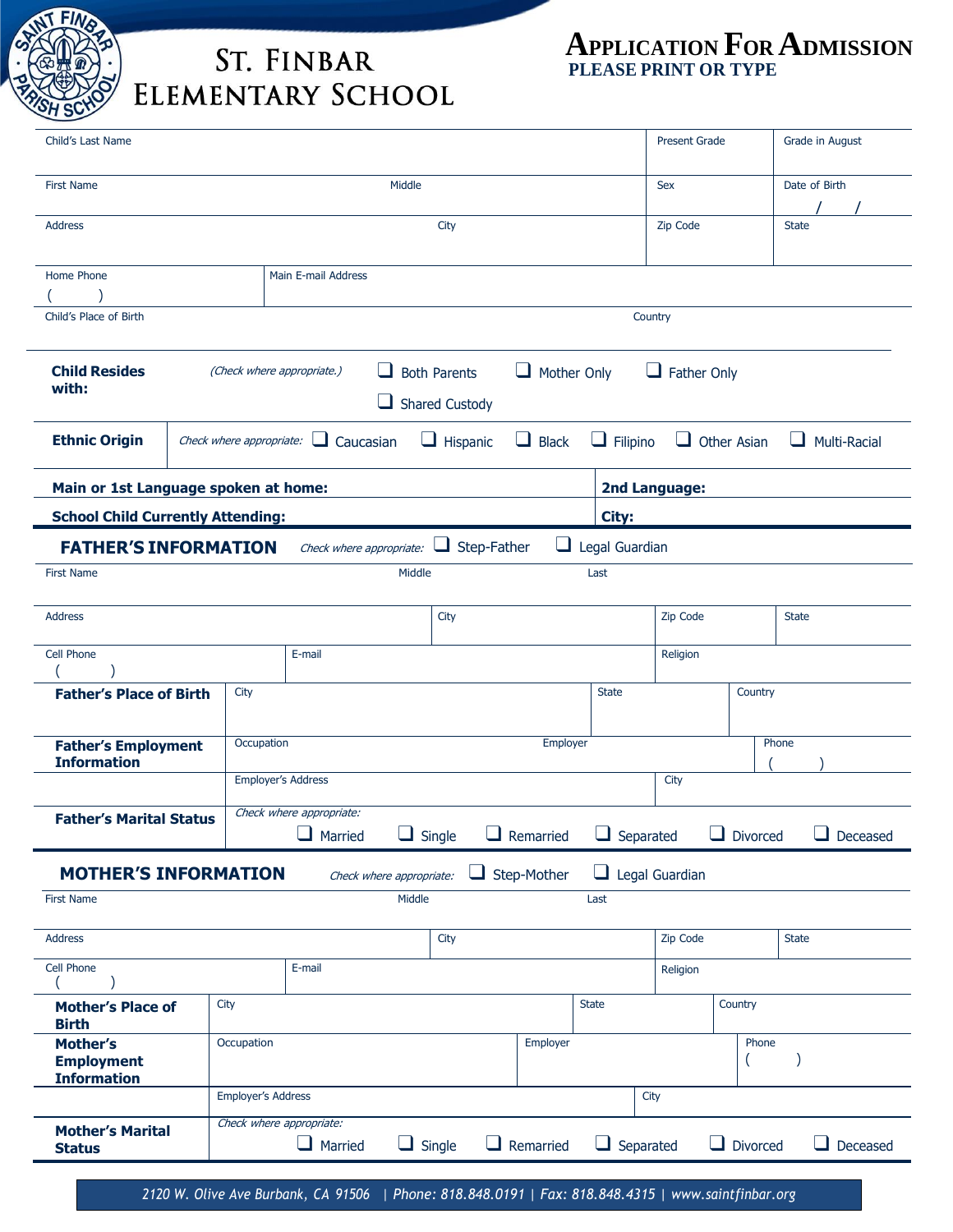

**Status**

## **ST. FINBAR ELEMENTARY SCHOOL**

Child's Last Name Present Grade Grade in August First Name and the Sex Date of Birth Sex Date of Birth Sex Date of Birth Sex Date of Birth Sex Date of Birth Sex Date of Birth Sex Date of Birth Sex Date of Birth Sex Date of Birth Sex Date of Birth Sex Date of Birth Sex D / / Address City Zip Code State Home Phone  $($ Main E-mail Address Child's Place of Birth Country **Child Resides with:** (Check where appropriate.) ❑ Both Parents ❑ Mother Only ❑ Father Only □ Shared Custody **Ethnic Origin** Check where appropriate: ❑ Caucasian ❑ Hispanic ❑ Black ❑ Filipino ❑ Other Asian ❑ Multi-Racial **Main or 1st Language spoken at home: 2nd Language: School Child Currently Attending: City: FATHER'S INFORMATION** Check where appropriate: □ Step-Father □ Legal Guardian First Name **Last** Last 2008 and 2008 and 2008 and 2008 and 2008 and 2008 and 2008 and 2008 and 2008 and 2008 and 2008 and 2008 and 2008 and 2008 and 2008 and 2008 and 2008 and 2008 and 2008 and 2008 and 2008 and 2008 and 2 Address and the state of the state of the state of  $\sim$  (City  $\sim$  State  $\sim$  State  $\sim$  State  $\sim$  State  $\sim$  State  $\sim$ Cell Phone  $($ E-mail Religion **Father's Place of Birth** City State Country State Country **Father's Employment Information** Occupation **Employer Employer** Phone **Phone** Phone **Phone** Phone **Phone** Phone **Phone** Phone **Phone** Phone **Phone** Phone **Phone** Phone **Phone** Phone **Phone** Phone **Phone** Phone **Phone** Phone **Phone** Phone **Phone** Phone  $($ Employer's Address City **Father's Marital Status** Check where appropriate: ❑ Married ❑ Single ❑ Remarried ❑ Separated ❑ Divorced ❑ Deceased **MOTHER'S INFORMATION** Check where appropriate:  $\Box$  Step-Mother  $\Box$  Legal Guardian First Name **Last** Last 2008 and 2008 and 2008 and 2008 and 2008 and 2008 and 2008 and 2008 and 2008 and 2008 and 2008 and 2008 and 2008 and 2008 and 2008 and 2008 and 2008 and 2008 and 2008 and 2008 and 2008 and 2008 and 2 Address and the state of the state of the State of City and the State of Table State of State of State of State Cell Phone  $($ E-mail Religion **Mother's Place of Birth** City **State** Country Country Country Country **State** State State State Country Country **Mother's Employment Information** Occupation **Employer** Phone Phone Phone Phone Phone Phone Phone Phone Phone Phone Phone Phone Phone Phone Phone Phone Phone Phone Phone Phone Phone Phone Phone Phone Phone Phone Phone Phone Phone Phone Phone Phone Phone Ph  $($   $)$ Employer's Address City **Mother's Marital** Check where appropriate:

*2120 W. Olive Ave Burbank, CA 91506 | Phone: 818.848.0191 | Fax: 818.848.4315 | www.saintfinbar.org*

❑ Married ❑ Single ❑ Remarried ❑ Separated ❑ Divorced ❑ Deceased